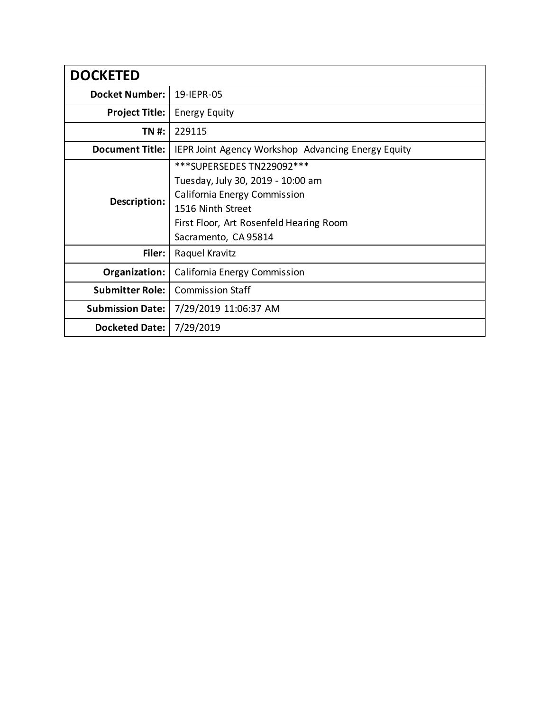| <b>DOCKETED</b>         |                                                           |
|-------------------------|-----------------------------------------------------------|
| <b>Docket Number:</b>   | 19-IEPR-05                                                |
| <b>Project Title:</b>   | <b>Energy Equity</b>                                      |
| TN #:                   | 229115                                                    |
| <b>Document Title:</b>  | <b>IEPR Joint Agency Workshop Advancing Energy Equity</b> |
| Description:            | ***SUPERSEDES TN229092***                                 |
|                         | Tuesday, July 30, 2019 - 10:00 am                         |
|                         | California Energy Commission                              |
|                         | 1516 Ninth Street                                         |
|                         | First Floor, Art Rosenfeld Hearing Room                   |
|                         | Sacramento, CA 95814                                      |
| Filer:                  | Raquel Kravitz                                            |
| Organization:           | California Energy Commission                              |
| <b>Submitter Role:</b>  | <b>Commission Staff</b>                                   |
| <b>Submission Date:</b> | 7/29/2019 11:06:37 AM                                     |
| Docketed Date:          | 7/29/2019                                                 |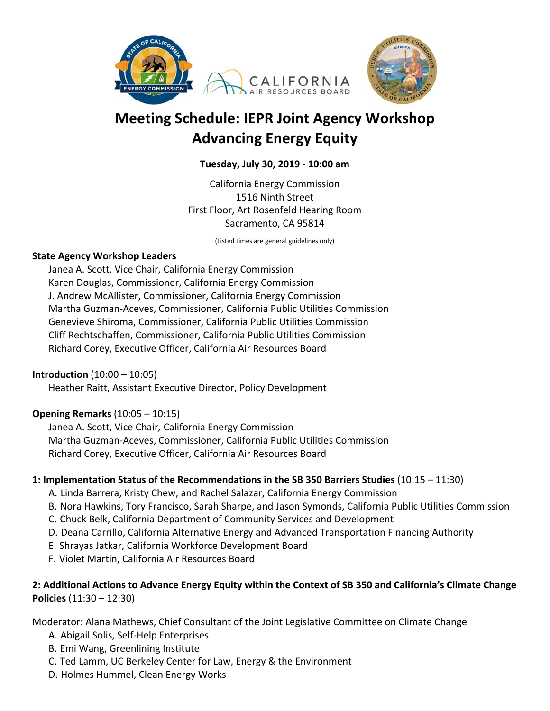



# **Meeting Schedule: IEPR Joint Agency Workshop Advancing Energy Equity**

## **Tuesday, July 30, 2019 ‐ 10:00 am**

California Energy Commission 1516 Ninth Street First Floor, Art Rosenfeld Hearing Room Sacramento, CA 95814

(Listed times are general guidelines only)

#### **State Agency Workshop Leaders**

Janea A. Scott, Vice Chair, California Energy Commission Karen Douglas, Commissioner, California Energy Commission J. Andrew McAllister, Commissioner, California Energy Commission Martha Guzman‐Aceves, Commissioner, California Public Utilities Commission Genevieve Shiroma, Commissioner, California Public Utilities Commission Cliff Rechtschaffen, Commissioner, California Public Utilities Commission Richard Corey, Executive Officer, California Air Resources Board

#### **Introduction** (10:00 – 10:05)

Heather Raitt, Assistant Executive Director, Policy Development

#### **Opening Remarks** (10:05 – 10:15)

Janea A. Scott, Vice Chair*,* California Energy Commission Martha Guzman‐Aceves, Commissioner, California Public Utilities Commission Richard Corey, Executive Officer, California Air Resources Board

#### **1: Implementation Status of the Recommendations in the SB 350 Barriers Studies** (10:15 – 11:30)

- A. Linda Barrera, Kristy Chew, and Rachel Salazar, California Energy Commission
- B. Nora Hawkins, Tory Francisco, Sarah Sharpe, and Jason Symonds, California Public Utilities Commission
- C. Chuck Belk, California Department of Community Services and Development
- D. Deana Carrillo, California Alternative Energy and Advanced Transportation Financing Authority
- E. Shrayas Jatkar, California Workforce Development Board
- F. Violet Martin, California Air Resources Board

# **2: Additional Actions to Advance Energy Equity within the Context of SB 350 and California's Climate Change Policies** (11:30 – 12:30)

Moderator: Alana Mathews, Chief Consultant of the Joint Legislative Committee on Climate Change

- A. Abigail Solis, Self‐Help Enterprises
- B. Emi Wang, Greenlining Institute
- C. Ted Lamm, UC Berkeley Center for Law, Energy & the Environment
- D. Holmes Hummel, Clean Energy Works